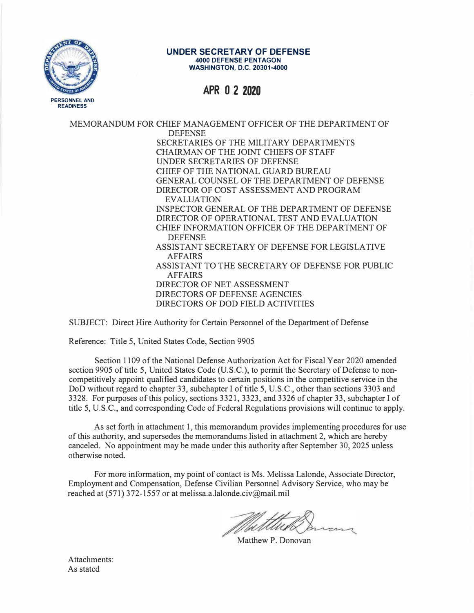

#### **UNDER SECRETARY OF DEFENSE 4000 DEFENSE PENTAGON WASHINGTON, D.C. 20301-4000**

# **APR O 2 2020**

MEMORANDUM FOR CHIEF MANAGEMENT OFFICER OF THE DEPARTMENT OF DEFENSE SECRETARIES OF THE MILITARY DEPARTMENTS CHAIRMAN OF THE JOINT CHIEFS OF STAFF UNDER SECRETARIES OF DEFENSE CHIEF OF THE NATIONAL GUARD BUREAU GENERAL COUNSEL OF THE DEPARTMENT OF DEFENSE DIRECTOR OF COST ASSESSMENT AND PROGRAM EVALUATION INSPECTOR GENERAL OF THE DEPARTMENT OF DEFENSE DIRECTOR OF OPERATIONAL TEST AND EVALUATION CHIEF INFORMATION OFFICER OF THE DEPARTMENT OF DEFENSE ASSISTANT SECRETARY OF DEFENSE FOR LEGISLATIVE AFFAIRS ASSISTANT TO THE SECRETARY OF DEFENSE FOR PUBLIC AFFAIRS DIRECTOR OF NET ASSESSMENT DIRECTORS OF DEFENSE AGENCIES DIRECTORS OF DOD FIELD ACTIVITIES

SUBJECT: Direct Hire Authority for Certain Personnel of the Department of Defense

Reference: Title 5, United States Code, Section 9905

Section 1109 of the National Defense Authorization Act for Fiscal Year 2020 amended section 9905 of title 5, United States Code (U.S.C.), to permit the Secretary of Defense to noncompetitively appoint qualified candidates to certain positions in the competitive service in the DoD without regard to chapter 33, subchapter I of title 5, U.S.C., other than sections 3303 and 3328. For purposes of this policy, sections 3321, 3323, and 3326 of chapter 33, subchapter I of title 5, U.S.C., and corresponding Code of Federal Regulations provisions will continue to apply.

As set forth in attachment 1, this memorandum provides implementing procedures for use of this authority, and supersedes the memorandums listed in attachment 2, which are hereby canceled. No appointment may be made under this authority after September 30, 2025 unless otherwise noted.

For more information, my point of contact is Ms. Melissa Lalonde, Associate Director, Employment and Compensation, Defense Civilian Personnel Advisory Service, who may be reached at (571) 372-1557 or at melissa.a.lalonde.civ@mail.mil

Matthew P. Donovan

Attachments: As stated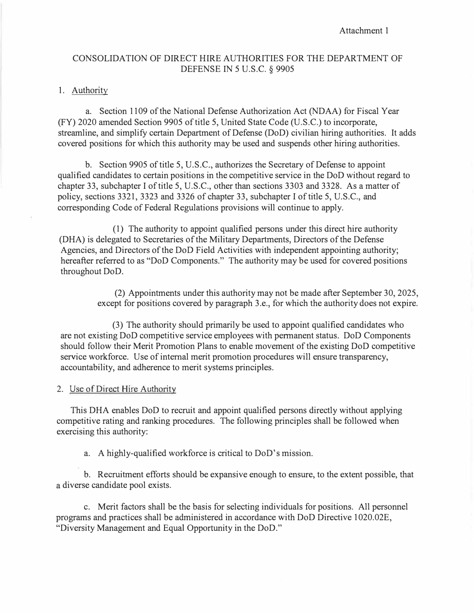Attachment 1

# CONSOLIDATION OF DIRECT HIRE AUTHORITIES FOR THE DEPARTMENT OF DEFENSE IN 5 U.S.C. § 9905

#### 1. Authority

a. Section 1109 of the National Defense Authorization Act (NDAA) for Fiscal Year (FY) 2020 amended Section 9905 of title 5, United State Code (U.S.C.) to incorporate, streamline, and simplify certain Department of Defense (DoD) civilian hiring authorities. It adds covered positions for which this authority may be used and suspends other hiring authorities.

b. Section 9905 of title 5, U.S.C., authorizes the Secretary of Defense to appoint qualified candidates to certain positions in the competitive service in the DoD without regard to chapter 33, subchapter I of title 5, U.S.C., other than sections 3303 and 3328. As a matter of policy, sections 3321, 3323 and 3326 of chapter 33, subchapter I of title 5, U.S.C., and corresponding Code of Federal Regulations provisions will continue to apply.

(1) The authority to appoint qualified persons under this direct hire authority (DHA) is delegated to Secretaries of the Military Departments, Directors of the Defense Agencies, and Directors of the DoD Field Activities with independent appointing authority; hereafter referred to as "DoD Components." The authority may be used for covered positions throughout DoD.

> (2) Appointments under this authority may not be made after September 30, 2025, except for positions covered by paragraph 3.e., for which the authority does not expire.

(3) The authority should primarily be used to appoint qualified candidates who are not existing DoD competitive service employees with permanent status. DoD Components should follow their Merit Promotion Plans to enable movement of the existing DoD competitive service workforce. Use of internal merit promotion procedures will ensure transparency, accountability, and adherence to merit systems principles.

#### 2. Use of Direct Hire Authority

This DHA enables DoD to recruit and appoint qualified persons directly without applying competitive rating and ranking procedures. The following principles shall be followed when exercising this authority:

a. A highly-qualified workforce is critical to DoD's mission.

b. Recruitment efforts should be expansive enough to ensure, to the extent possible, that a diverse candidate pool exists.

c. Merit factors shall be the basis for selecting individuals for positions. All personnel programs and practices shall be administered in accordance with DoD Directive 1020.02E, "Diversity Management and Equal Opportunity in the DoD."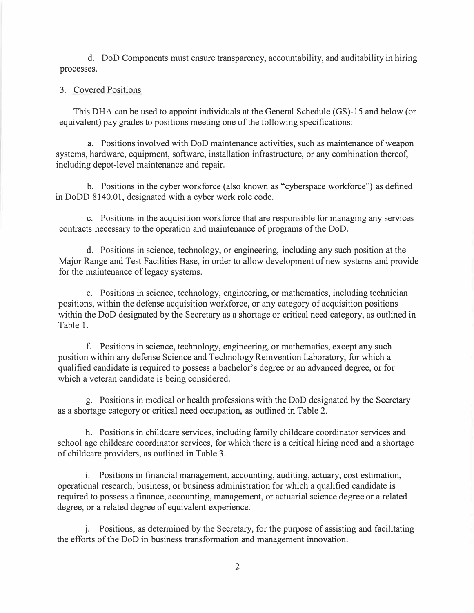d. DoD Components must ensure transparency, accountability, and auditability in hiring processes.

#### 3. Covered Positions

This DHA can be used to appoint individuals at the General Schedule (GS)-15 and below (or equivalent) pay grades to positions meeting one of the following specifications:

a. Positions involved with DoD maintenance activities, such as maintenance of weapon systems, hardware, equipment, software, installation infrastructure, or any combination thereof, including depot-level maintenance and repair.

b. Positions in the cyber workforce (also known as "cyberspace workforce") as defined in DoDD 8140.01, designated with a cyber work role code.

c. Positions in the acquisition workforce that are responsible for managing any services contracts necessary to the operation and maintenance of programs of the DoD.

d. Positions in science, technology, or engineering, including any such position at the Major Range and Test Facilities Base, in order to allow development of new systems and provide for the maintenance of legacy systems.

e. Positions in science, technology, engineering, or mathematics, including technician positions, within the defense acquisition workforce, or any category of acquisition positions within the DoD designated by the Secretary as a shortage or critical need category, as outlined in Table 1.

f. Positions in science, technology, engineering, or mathematics, except any such position within any defense Science and Technology Reinvention Laboratory, for which a qualified candidate is required to possess a bachelor's degree or an advanced degree, or for which a veteran candidate is being considered.

g. Positions in medical or health professions with the DoD designated by the Secretary as a shortage category or critical need occupation, as outlined in Table 2.

h. Positions in childcare services, including family childcare coordinator services and school age childcare coordinator services, for which there is a critical hiring need and a shortage of childcare providers, as outlined in Table 3.

i. Positions in financial management, accounting, auditing, actuary, cost estimation, operational research, business, or business administration for which a qualified candidate is required to possess a finance, accounting, management, or actuarial science degree or a related degree, or a related degree of equivalent experience.

j. Positions, as determined by the Secretary, for the purpose of assisting and facilitating the efforts of the DoD in business transformation and management innovation.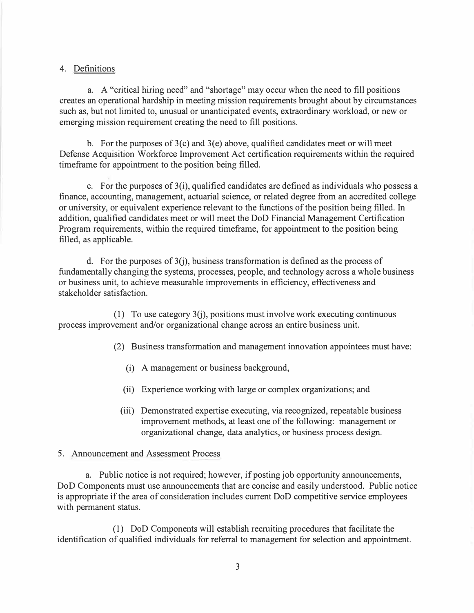# 4. Definitions

a. A "critical hiring need" and "shortage" may occur when the need to fill positions creates an operational hardship in meeting mission requirements brought about by circumstances such as, but not limited to, unusual or unanticipated events, extraordinary workload, or new or emerging mission requirement creating the need to fill positions.

b. For the purposes of  $3(c)$  and  $3(e)$  above, qualified candidates meet or will meet Defense Acquisition Workforce Improvement Act certification requirements within the required timeframe for appointment to the position being filled.

c. For the purposes of  $3(i)$ , qualified candidates are defined as individuals who possess a finance, accounting, management, actuarial science, or related degree from an accredited college or university, or equivalent experience relevant to the functions of the position being filled. In addition, qualified candidates meet or will meet the DoD Financial Management Certification Program requirements, within the required timeframe, for appointment to the position being filled, as applicable.

d. For the purposes of  $3(i)$ , business transformation is defined as the process of fundamentally changing the systems, processes, people, and technology across a whole business or business unit, to achieve measurable improvements in efficiency, effectiveness and stakeholder satisfaction.

(1) To use category 3(j), positions must involve work executing continuous process improvement and/or organizational change across an entire business unit.

(2) Business transformation and management innovation appointees must have:

- (i) A management or business background,
- (ii) Experience working with large or complex organizations; and
- (iii) Demonstrated expertise executing, via recognized, repeatable business improvement methods, at least one of the following: management or organizational change, data analytics, or business process design.

### 5. Announcement and Assessment Process

a. Public notice is not required; however, if posting job opportunity announcements, DoD Components must use announcements that are concise and easily understood. Public notice is appropriate if the area of consideration includes current DoD competitive service employees with permanent status.

(1) DoD Components will establish recruiting procedures that facilitate the identification of qualified individuals for referral to management for selection and appointment.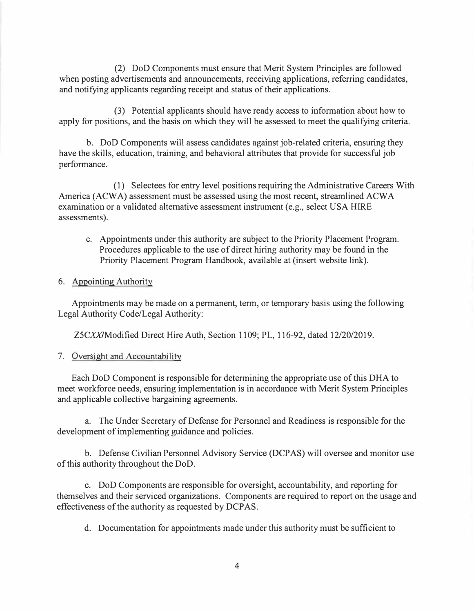(2) DoD Components must ensure that Merit System Principles are followed when posting advertisements and announcements, receiving applications, referring candidates, and notifying applicants regarding receipt and status of their applications.

(3) Potential applicants should have ready access to information about how to apply for positions, and the basis on which they will be assessed to meet the qualifying criteria.

b. DoD Components will assess candidates against job-related criteria, ensuring they have the skills, education, training, and behavioral attributes that provide for successful job performance.

(1) Selectees for entry level positions requiring the Administrative Careers With America (ACWA) assessment must be assessed using the most recent, streamlined ACWA examination or a validated alternative assessment instrument (e.g., select USA HIRE assessments).

c. Appointments under this authority are subject to the Priority Placement Program. Procedures applicable to the use of direct hiring authority may be found in the Priority Placement Program Handbook, available at (insert website link).

#### 6. Appointing Authority

Appointments may be made on a permanent, term, or temporary basis using the following Legal Authority Code/Legal Authority:

ZSCXX/Modified Direct Hire Auth, Section 1109; PL, 116-92, dated 12/20/2019.

### 7. Oversight and Accountability

Each DoD Component is responsible for determining the appropriate use of this DHA to meet workforce needs, ensuring implementation is in accordance with Merit System Principles and applicable collective bargaining agreements.

a. The Under Secretary of Defense for Personnel and Readiness is responsible for the development of implementing guidance and policies.

b. Defense Civilian Personnel Advisory Service (DCPAS) will oversee and monitor use of this authority throughout the DoD.

c. DoD Components are responsible for oversight, accountability, and reporting for themselves and their serviced organizations. Components are required to report on the usage and effectiveness of the authority as requested by DCPAS.

d. Documentation for appointments made under this authority must be sufficient to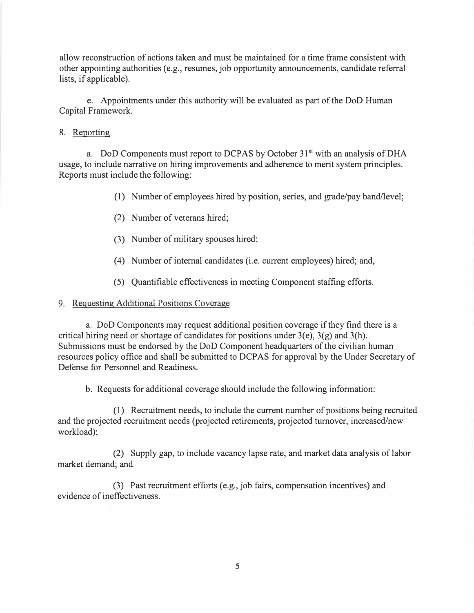allow reconstruction of actions taken and must be maintained for a time frame consistent with other appointing authorities ( e.g., resumes, job opportunity announcements, candidate referral lists, if applicable).

e. Appointments under this authority will be evaluated as part of the DoD Human Capital Framework.

#### 8. Reporting

a. DoD Components must report to DCPAS by October 31<sup>st</sup> with an analysis of DHA usage, to include narrative on hiring improvements and adherence to merit system principles. Reports must include the following:

- (1) Number of employees hired by position, series, and grade/pay band/level;
- (2) Number of veterans hired;
- (3) Number of military spouses hired;
- (4) Number of internal candidates (i.e. current employees) hired; and,
- (5) Quantifiable effectiveness in meeting Component staffing efforts.

#### 9. Requesting Additional Positions Coverage

a. DoD Components may request additional position coverage if they find there is a critical hiring need or shortage of candidates for positions under  $3(e)$ ,  $3(g)$  and  $3(h)$ . Submissions must be endorsed by the DoD Component headquarters of the civilian human resources policy office and shall be submitted to DCP AS for approval by the Under Secretary of Defense for Personnel and Readiness.

b. Requests for additional coverage should include the following information:

( 1) Recruitment needs, to include the current number of positions being recruited and the projected recruitment needs (projected retirements, projected turnover, increased/new workload);

(2) Supply gap, to include vacancy lapse rate, and market data analysis of labor market demand; and

(3) Past recruitment efforts (e.g., job fairs, compensation incentives) and evidence of ineffectiveness.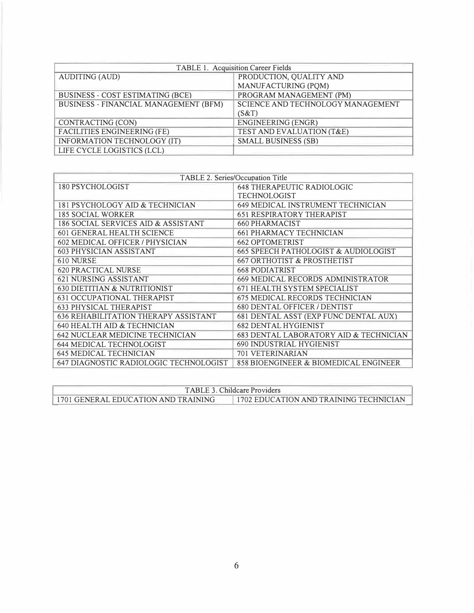| TABLE 1. Acquisition Career Fields           |                                      |
|----------------------------------------------|--------------------------------------|
| <b>AUDITING (AUD)</b>                        | PRODUCTION, QUALITY AND              |
|                                              | MANUFACTURING (PQM)                  |
| <b>BUSINESS - COST ESTIMATING (BCE)</b>      | PROGRAM MANAGEMENT (PM)              |
| <b>BUSINESS - FINANCIAL MANAGEMENT (BFM)</b> | SCIENCE AND TECHNOLOGY MANAGEMENT    |
|                                              | (S&T)                                |
| CONTRACTING (CON)                            | <b>ENGINEERING (ENGR)</b>            |
| <b>FACILITIES ENGINEERING (FE)</b>           | <b>TEST AND EVALUATION (T&amp;E)</b> |
| <b>INFORMATION TECHNOLOGY (IT)</b>           | <b>SMALL BUSINESS (SB)</b>           |
| LIFE CYCLE LOGISTICS (LCL)                   |                                      |

| TABLE 2. Series/Occupation Title            |                                                 |
|---------------------------------------------|-------------------------------------------------|
| 180 PSYCHOLOGIST                            | <b>648 THERAPEUTIC RADIOLOGIC</b>               |
|                                             | <b>TECHNOLOGIST</b>                             |
| 181 PSYCHOLOGY AID & TECHNICIAN             | <b>649 MEDICAL INSTRUMENT TECHNICIAN</b>        |
| <b>185 SOCIAL WORKER</b>                    | <b>651 RESPIRATORY THERAPIST</b>                |
| 186 SOCIAL SERVICES AID & ASSISTANT         | <b>660 PHARMACIST</b>                           |
| <b>601 GENERAL HEALTH SCIENCE</b>           | <b>661 PHARMACY TECHNICIAN</b>                  |
| <b>602 MEDICAL OFFICER / PHYSICIAN</b>      | <b>662 OPTOMETRIST</b>                          |
| <b>603 PHYSICIAN ASSISTANT</b>              | <b>665 SPEECH PATHOLOGIST &amp; AUDIOLOGIST</b> |
| 610 NURSE                                   | <b>667 ORTHOTIST &amp; PROSTHETIST</b>          |
| <b>620 PRACTICAL NURSE</b>                  | <b>668 PODIATRIST</b>                           |
| 621 NURSING ASSISTANT                       | <b>669 MEDICAL RECORDS ADMINISTRATOR</b>        |
| 630 DIETITIAN & NUTRITIONIST                | 671 HEALTH SYSTEM SPECIALIST                    |
| <b>631 OCCUPATIONAL THERAPIST</b>           | <b>675 MEDICAL RECORDS TECHNICIAN</b>           |
| <b>633 PHYSICAL THERAPIST</b>               | 680 DENTAL OFFICER / DENTIST                    |
| <b>636 REHABILITATION THERAPY ASSISTANT</b> | 681 DENTAL ASST (EXP FUNC DENTAL AUX)           |
| 640 HEALTH AID & TECHNICIAN                 | <b>682 DENTAL HYGIENIST</b>                     |
| <b>642 NUCLEAR MEDICINE TECHNICIAN</b>      | 683 DENTAL LABORATORY AID & TECHNICIAN          |
| <b>644 MEDICAL TECHNOLOGIST</b>             | 690 INDUSTRIAL HYGIENIST                        |
| <b>645 MEDICAL TECHNICIAN</b>               | 701 VETERINARIAN                                |
| 647 DIAGNOSTIC RADIOLOGIC TECHNOLOGIST      | 858 BIOENGINEER & BIOMEDICAL ENGINEER           |

| <b>TABLE 3. Childcare Providers</b> |                                        |
|-------------------------------------|----------------------------------------|
| 1701 GENERAL EDUCATION AND TRAINING | 1702 EDUCATION AND TRAINING TECHNICIAN |